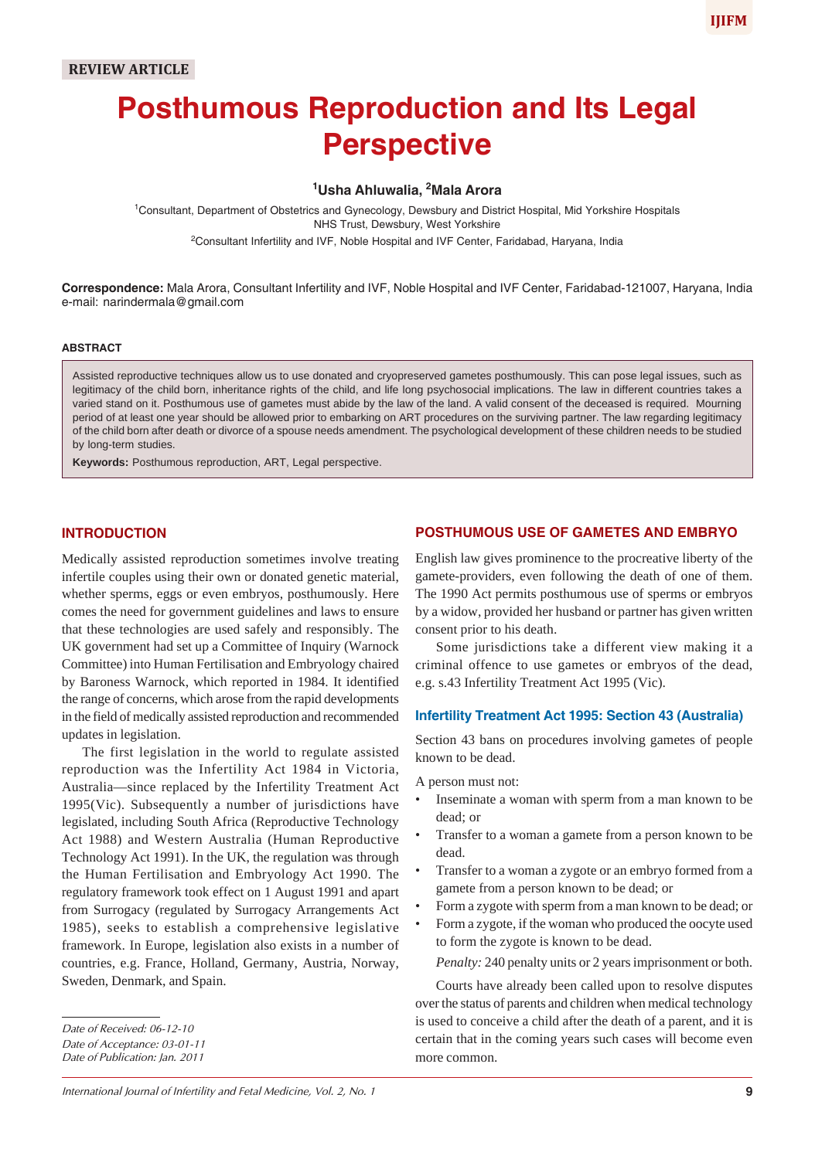# **Posthumous Reproduction and Its Legal Perspective**

# **1 Usha Ahluwalia, 2 Mala Arora**

1 Consultant, Department of Obstetrics and Gynecology, Dewsbury and District Hospital, Mid Yorkshire Hospitals NHS Trust, Dewsbury, West Yorkshire <sup>2</sup>Consultant Infertility and IVF, Noble Hospital and IVF Center, Faridabad, Haryana, India

**Correspondence:** Mala Arora, Consultant Infertility and IVF, Noble Hospital and IVF Center, Faridabad-121007, Haryana, India e-mail: narindermala@gmail.com

#### **ABSTRACT**

Assisted reproductive techniques allow us to use donated and cryopreserved gametes posthumously. This can pose legal issues, such as legitimacy of the child born, inheritance rights of the child, and life long psychosocial implications. The law in different countries takes a varied stand on it. Posthumous use of gametes must abide by the law of the land. A valid consent of the deceased is required. Mourning period of at least one year should be allowed prior to embarking on ART procedures on the surviving partner. The law regarding legitimacy of the child born after death or divorce of a spouse needs amendment. The psychological development of these children needs to be studied by long-term studies.

**Keywords:** Posthumous reproduction, ART, Legal perspective.

## **INTRODUCTION**

Medically assisted reproduction sometimes involve treating infertile couples using their own or donated genetic material, whether sperms, eggs or even embryos, posthumously. Here comes the need for government guidelines and laws to ensure that these technologies are used safely and responsibly. The UK government had set up a Committee of Inquiry (Warnock Committee) into Human Fertilisation and Embryology chaired by Baroness Warnock, which reported in 1984. It identified the range of concerns, which arose from the rapid developments in the field of medically assisted reproduction and recommended updates in legislation.

The first legislation in the world to regulate assisted reproduction was the Infertility Act 1984 in Victoria, Australia—since replaced by the Infertility Treatment Act 1995(Vic). Subsequently a number of jurisdictions have legislated, including South Africa (Reproductive Technology Act 1988) and Western Australia (Human Reproductive Technology Act 1991). In the UK, the regulation was through the Human Fertilisation and Embryology Act 1990. The regulatory framework took effect on 1 August 1991 and apart from Surrogacy (regulated by Surrogacy Arrangements Act 1985), seeks to establish a comprehensive legislative framework. In Europe, legislation also exists in a number of countries, e.g. France, Holland, Germany, Austria, Norway, Sweden, Denmark, and Spain.

*Date of Publication: Jan. 2011*

## **POSTHUMOUS USE OF GAMETES AND EMBRYO**

English law gives prominence to the procreative liberty of the gamete-providers, even following the death of one of them. The 1990 Act permits posthumous use of sperms or embryos by a widow, provided her husband or partner has given written consent prior to his death.

Some jurisdictions take a different view making it a criminal offence to use gametes or embryos of the dead, e.g. s.43 Infertility Treatment Act 1995 (Vic).

### **Infertility Treatment Act 1995: Section 43 (Australia)**

Section 43 bans on procedures involving gametes of people known to be dead.

A person must not:

- Inseminate a woman with sperm from a man known to be dead; or
- Transfer to a woman a gamete from a person known to be dead.
- Transfer to a woman a zygote or an embryo formed from a gamete from a person known to be dead; or
- Form a zygote with sperm from a man known to be dead; or
- Form a zygote, if the woman who produced the oocyte used to form the zygote is known to be dead.

*Penalty:* 240 penalty units or 2 years imprisonment or both.

Courts have already been called upon to resolve disputes over the status of parents and children when medical technology is used to conceive a child after the death of a parent, and it is certain that in the coming years such cases will become even more common.

*Date of Received: 06-12-10*

*Date of Acceptance: 03-01-11*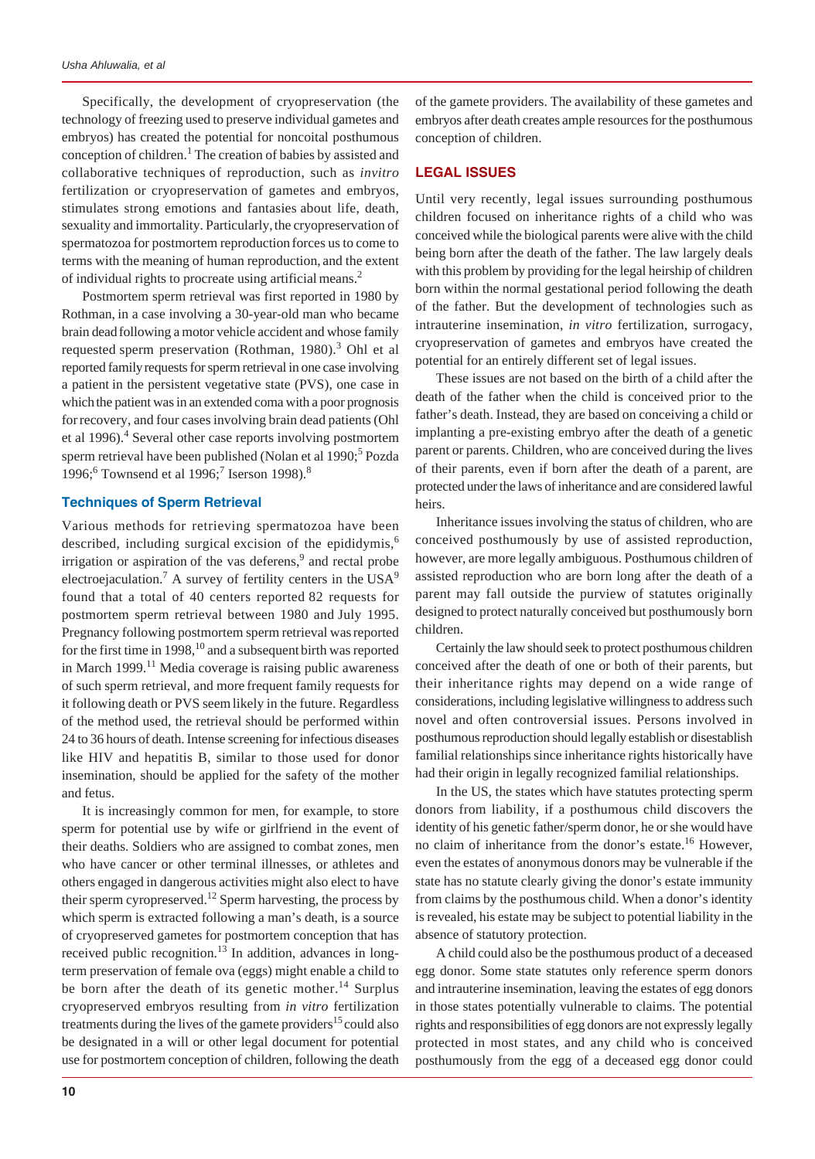Specifically, the development of cryopreservation (the technology of freezing used to preserve individual gametes and embryos) has created the potential for noncoital posthumous conception of children.<sup>1</sup> The creation of babies by assisted and collaborative techniques of reproduction, such as *invitro* fertilization or cryopreservation of gametes and embryos, stimulates strong emotions and fantasies about life, death, sexuality and immortality. Particularly, the cryopreservation of spermatozoa for postmortem reproduction forces us to come to terms with the meaning of human reproduction, and the extent of individual rights to procreate using artificial means.<sup>2</sup>

Postmortem sperm retrieval was first reported in 1980 by Rothman, in a case involving a 30-year-old man who became brain deadfollowing a motor vehicle accident and whose family requested sperm preservation (Rothman, 1980).<sup>3</sup> Ohl et al reported familyrequests for sperm retrieval in one case involving a patient in the persistent vegetative state (PVS), one case in which the patient was in an extended coma with a poor prognosis forrecovery, and four cases involving brain dead patients (Ohl et al 1996).<sup>4</sup> Several other case reports involving postmortem sperm retrieval have been published (Nolan et al 1990;<sup>5</sup> Pozda 1996;<sup>6</sup> Townsend et al 1996;<sup>7</sup> Iserson 1998).<sup>8</sup>

## **Techniques of Sperm Retrieval**

Various methods for retrieving spermatozoa have been described, including surgical excision of the epididymis, $<sup>6</sup>$ </sup> irrigation or aspiration of the vas deferens, $9$  and rectal probe electroejaculation.<sup>7</sup> A survey of fertility centers in the  $USA<sup>9</sup>$ found that a total of 40 centers reported 82 requests for postmortem sperm retrieval between 1980 and July 1995. Pregnancy following postmortem sperm retrieval was reported for the first time in 1998, $10$  and a subsequent birth was reported in March  $1999$ <sup>11</sup> Media coverage is raising public awareness of such sperm retrieval, and more frequent family requests for it following death or PVS seemlikely in the future. Regardless of the method used, the retrieval should be performed within 24 to 36 hours of death. Intense screening for infectious diseases like HIV and hepatitis B, similar to those used for donor insemination, should be applied for the safety of the mother and fetus.

It is increasingly common for men, for example, to store sperm for potential use by wife or girlfriend in the event of their deaths. Soldiers who are assigned to combat zones, men who have cancer or other terminal illnesses, or athletes and others engaged in dangerous activities might also elect to have their sperm cyropreserved.<sup>12</sup> Sperm harvesting, the process by which sperm is extracted following a man's death, is a source of cryopreserved gametes for postmortem conception that has received public recognition.<sup>13</sup> In addition, advances in longterm preservation of female ova (eggs) might enable a child to be born after the death of its genetic mother.<sup>14</sup> Surplus cryopreserved embryos resulting from *in vitro* fertilization treatments during the lives of the gamete providers<sup>15</sup> could also be designated in a will or other legal document for potential use for postmortem conception of children, following the death

of the gamete providers. The availability of these gametes and embryos after death creates ample resources for the posthumous conception of children.

## **LEGAL ISSUES**

Until very recently, legal issues surrounding posthumous children focused on inheritance rights of a child who was conceived while the biological parents were alive with the child being born after the death of the father. The law largely deals with this problem by providing for the legal heirship of children born within the normal gestational period following the death of the father. But the development of technologies such as intrauterine insemination, *in vitro* fertilization, surrogacy, cryopreservation of gametes and embryos have created the potential for an entirely different set of legal issues.

These issues are not based on the birth of a child after the death of the father when the child is conceived prior to the father's death. Instead, they are based on conceiving a child or implanting a pre-existing embryo after the death of a genetic parent or parents. Children, who are conceived during the lives of their parents, even if born after the death of a parent, are protected under the laws of inheritance and are considered lawful heirs.

Inheritance issues involving the status of children, who are conceived posthumously by use of assisted reproduction, however, are more legally ambiguous. Posthumous children of assisted reproduction who are born long after the death of a parent may fall outside the purview of statutes originally designed to protect naturally conceived but posthumously born children.

Certainly the law should seek to protect posthumous children conceived after the death of one or both of their parents, but their inheritance rights may depend on a wide range of considerations, including legislative willingness to address such novel and often controversial issues. Persons involved in posthumous reproduction should legally establish or disestablish familial relationships since inheritance rights historically have had their origin in legally recognized familial relationships.

In the US, the states which have statutes protecting sperm donors from liability, if a posthumous child discovers the identity of his genetic father/sperm donor, he or she would have no claim of inheritance from the donor's estate.<sup>16</sup> However, even the estates of anonymous donors may be vulnerable if the state has no statute clearly giving the donor's estate immunity from claims by the posthumous child. When a donor's identity is revealed, his estate may be subject to potential liability in the absence of statutory protection.

A child could also be the posthumous product of a deceased egg donor. Some state statutes only reference sperm donors and intrauterine insemination, leaving the estates of egg donors in those states potentially vulnerable to claims. The potential rights and responsibilities of egg donors are not expressly legally protected in most states, and any child who is conceived posthumously from the egg of a deceased egg donor could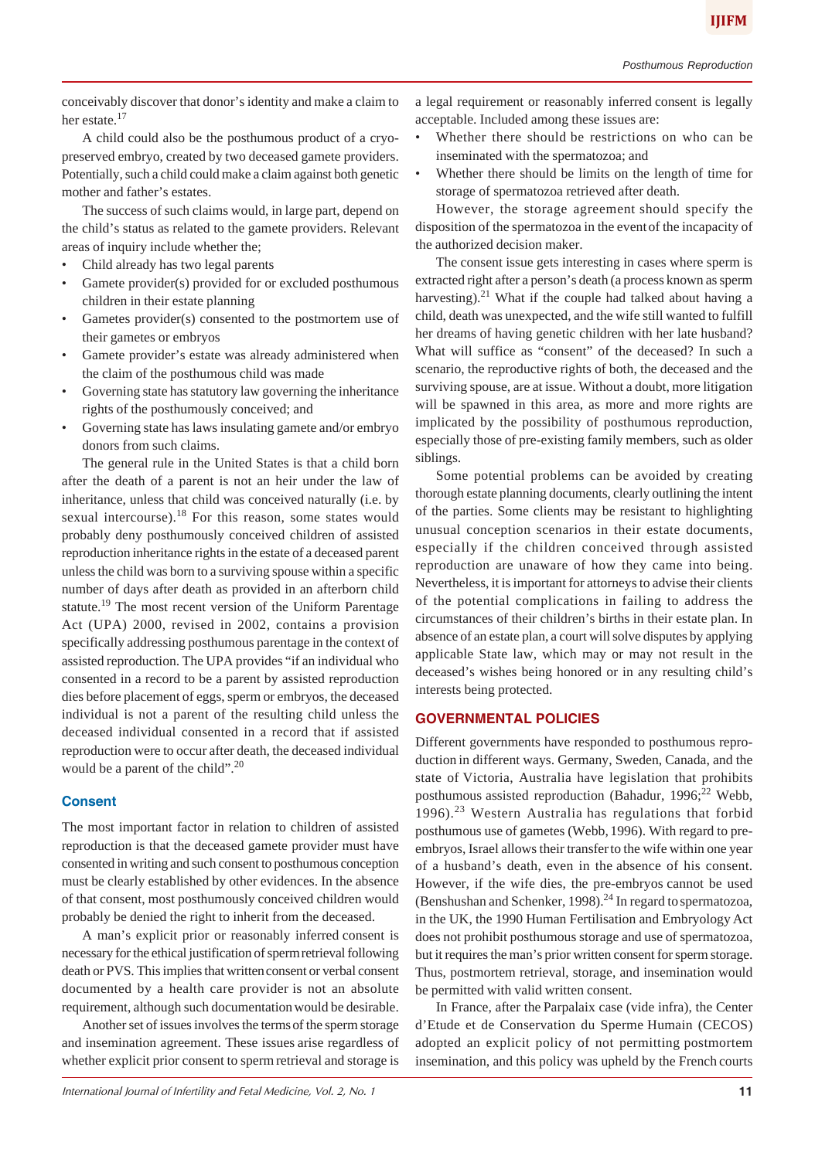A child could also be the posthumous product of a cryopreserved embryo, created by two deceased gamete providers. Potentially, such a child could make a claim against both genetic mother and father's estates.

The success of such claims would, in large part, depend on the child's status as related to the gamete providers. Relevant areas of inquiry include whether the;

- Child already has two legal parents
- Gamete provider(s) provided for or excluded posthumous children in their estate planning
- Gametes provider(s) consented to the postmortem use of their gametes or embryos
- Gamete provider's estate was already administered when the claim of the posthumous child was made
- Governing state has statutory law governing the inheritance rights of the posthumously conceived; and
- Governing state has laws insulating gamete and/or embryo donors from such claims.

The general rule in the United States is that a child born after the death of a parent is not an heir under the law of inheritance, unless that child was conceived naturally (i.e. by sexual intercourse).<sup>18</sup> For this reason, some states would probably deny posthumously conceived children of assisted reproduction inheritance rights in the estate of a deceased parent unless the child was born to a surviving spouse within a specific number of days after death as provided in an afterborn child statute.<sup>19</sup> The most recent version of the Uniform Parentage Act (UPA) 2000, revised in 2002, contains a provision specifically addressing posthumous parentage in the context of assisted reproduction. The UPA provides "if an individual who consented in a record to be a parent by assisted reproduction dies before placement of eggs, sperm or embryos, the deceased individual is not a parent of the resulting child unless the deceased individual consented in a record that if assisted reproduction were to occur after death, the deceased individual would be a parent of the child".<sup>20</sup>

# **Consent**

The most important factor in relation to children of assisted reproduction is that the deceased gamete provider must have consented in writing and such consent to posthumous conception must be clearly established by other evidences. In the absence of that consent, most posthumously conceived children would probably be denied the right to inherit from the deceased.

A man's explicit prior or reasonably inferred consent is necessary for the ethical justification of spermretrieval following death or PVS. This implies that written consent or verbal consent documented by a health care provider is not an absolute requirement, although such documentationwould be desirable.

Another set of issues involves the termsof the sperm storage and insemination agreement. These issues arise regardless of whether explicit prior consent to spermretrieval and storage is

a legal requirement or reasonably inferred consent is legally acceptable. Included among these issues are:

- Whether there should be restrictions on who can be inseminated with the spermatozoa; and
- Whether there should be limits on the length of time for storage of spermatozoa retrieved after death.

However, the storage agreement should specify the disposition of the spermatozoa in the event of the incapacity of the authorized decision maker.

The consent issue gets interesting in cases where sperm is extracted right after a person's death (a process known as sperm harvesting).<sup>21</sup> What if the couple had talked about having a child, death was unexpected, and the wife still wanted to fulfill her dreams of having genetic children with her late husband? What will suffice as "consent" of the deceased? In such a scenario, the reproductive rights of both, the deceased and the surviving spouse, are at issue. Without a doubt, more litigation will be spawned in this area, as more and more rights are implicated by the possibility of posthumous reproduction, especially those of pre-existing family members, such as older siblings.

Some potential problems can be avoided by creating thorough estate planning documents, clearly outlining the intent of the parties. Some clients may be resistant to highlighting unusual conception scenarios in their estate documents, especially if the children conceived through assisted reproduction are unaware of how they came into being. Nevertheless, it is important for attorneys to advise their clients of the potential complications in failing to address the circumstances of their children's births in their estate plan. In absence of an estate plan, a court will solve disputes by applying applicable State law, which may or may not result in the deceased's wishes being honored or in any resulting child's interests being protected.

# **GOVERNMENTAL POLICIES**

Different governments have responded to posthumous reproduction in different ways. Germany, Sweden, Canada, and the state of Victoria, Australia have legislation that prohibits posthumous assisted reproduction (Bahadur,  $1996;^{22}$  Webb, 1996).<sup>23</sup> Western Australia has regulations that forbid posthumous use of gametes (Webb, 1996). With regard to preembryos, Israel allows their transferto the wife within one year of a husband's death, even in the absence of his consent. However, if the wife dies, the pre-embryos cannot be used (Benshushan and Schenker, 1998).<sup>24</sup> In regard to spermatozoa, in the UK, the 1990 Human Fertilisation and Embryology Act does not prohibit posthumous storage and use of spermatozoa, but it requires the man's prior written consent for sperm storage. Thus, postmortem retrieval, storage, and insemination would be permitted with valid written consent.

In France, after the Parpalaix case (vide infra), the Center d'Etude et de Conservation du Sperme Humain (CECOS) adopted an explicit policy of not permitting postmortem insemination, and this policy was upheld by the French courts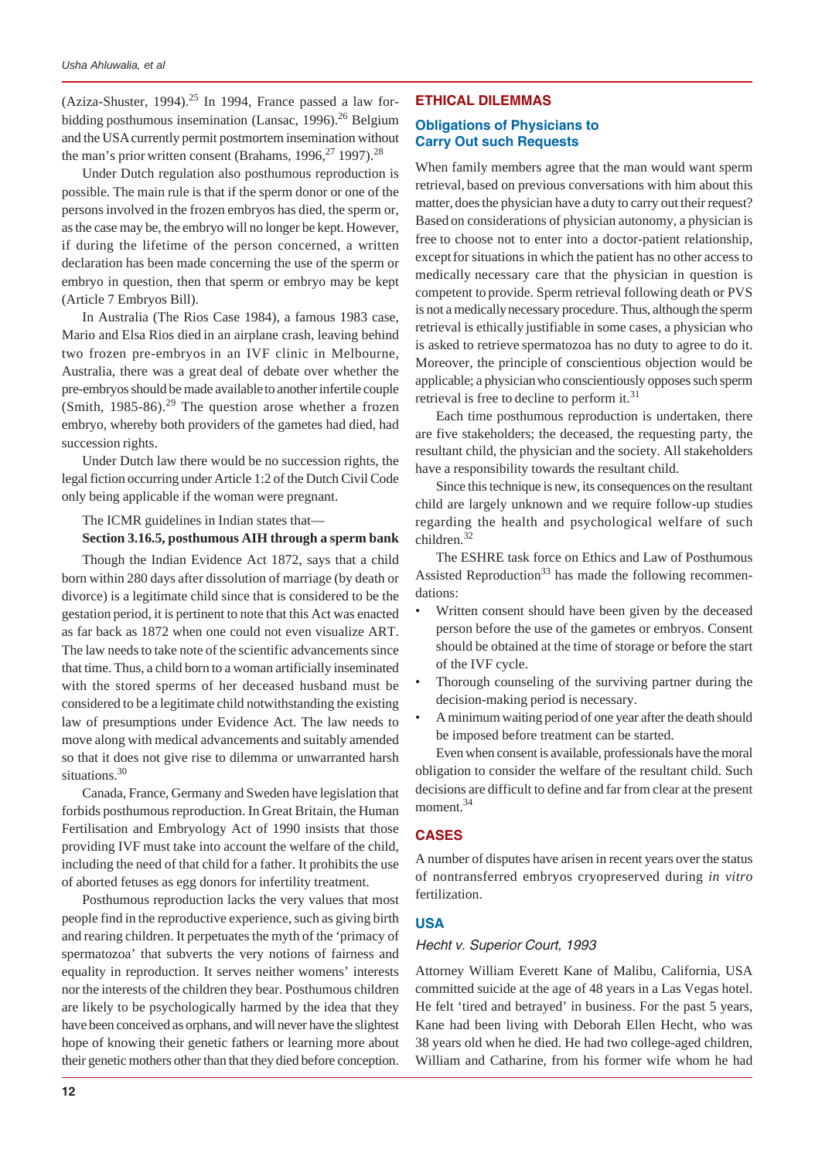(Aziza-Shuster, 1994).<sup>25</sup> In 1994, France passed a law forbidding posthumous insemination (Lansac, 1996).<sup>26</sup> Belgium and the USAcurrently permit postmortem insemination without the man's prior written consent (Brahams,  $1996$ ,  $27$  1997).<sup>28</sup>

Under Dutch regulation also posthumous reproduction is possible. The main rule is that if the sperm donor or one of the persons involved in the frozen embryos has died, the sperm or, as the case may be, the embryo will no longer be kept. However, if during the lifetime of the person concerned, a written declaration has been made concerning the use of the sperm or embryo in question, then that sperm or embryo may be kept (Article 7 Embryos Bill).

In Australia (The Rios Case 1984), a famous 1983 case, Mario and Elsa Rios died in an airplane crash, leaving behind two frozen pre-embryos in an IVF clinic in Melbourne, Australia, there was a great deal of debate over whether the pre-embryos should be made availableto another infertile couple (Smith,  $1985-86$ ).<sup>29</sup> The question arose whether a frozen embryo, whereby both providers of the gametes had died, had succession rights.

Under Dutch law there would be no succession rights, the legal fiction occurring under Article 1:2 of the Dutch Civil Code only being applicable if the woman were pregnant.

#### The ICMR guidelines in Indian states that—

## **Section 3.16.5, posthumous AIH through a sperm bank**

Though the Indian Evidence Act 1872, says that a child born within 280 days after dissolution of marriage (by death or divorce) is a legitimate child since that is considered to be the gestation period, it is pertinent to note that this Act was enacted as far back as 1872 when one could not even visualize ART. The law needs to take note of the scientific advancements since that time. Thus, a child born to a woman artificially inseminated with the stored sperms of her deceased husband must be considered to be a legitimate child notwithstanding the existing law of presumptions under Evidence Act. The law needs to move along with medical advancements and suitably amended so that it does not give rise to dilemma or unwarranted harsh situations.<sup>30</sup>

Canada, France, Germany and Sweden have legislation that forbids posthumous reproduction. In Great Britain, the Human Fertilisation and Embryology Act of 1990 insists that those providing IVF must take into account the welfare of the child, including the need of that child for a father. It prohibits the use of aborted fetuses as egg donors for infertility treatment.

Posthumous reproduction lacks the very values that most people find in the reproductive experience, such as giving birth and rearing children. It perpetuates the myth of the 'primacy of spermatozoa' that subverts the very notions of fairness and equality in reproduction. It serves neither womens' interests nor the interests of the children they bear. Posthumous children are likely to be psychologically harmed by the idea that they have been conceived as orphans, and will never have the slightest hope of knowing their genetic fathers or learning more about their genetic mothers other than that they died before conception.

#### **ETHICAL DILEMMAS**

## **Obligations of Physicians to Carry Out such Requests**

When family members agree that the man would want sperm retrieval, based on previous conversations with him about this matter, does the physician have a duty to carry out their request? Based on considerations of physician autonomy, a physician is free to choose not to enter into a doctor-patient relationship, exceptfor situations in which the patient has no other access to medically necessary care that the physician in question is competent to provide. Sperm retrieval following death or PVS is not a medically necessary procedure. Thus, although the sperm retrieval is ethically justifiable in some cases, a physician who is asked to retrieve spermatozoa has no duty to agree to do it. Moreover, the principle of conscientious objection would be applicable; a physicianwho conscientiously opposes such sperm retrieval is free to decline to perform it.<sup>31</sup>

Each time posthumous reproduction is undertaken, there are five stakeholders; the deceased, the requesting party, the resultant child, the physician and the society. All stakeholders have a responsibility towards the resultant child.

Since this technique is new, its consequences on the resultant child are largely unknown and we require follow-up studies regarding the health and psychological welfare of such children.<sup>32</sup>

The ESHRE task force on Ethics and Law of Posthumous Assisted Reproduction<sup>33</sup> has made the following recommendations:

- Written consent should have been given by the deceased person before the use of the gametes or embryos. Consent should be obtained at the time of storage or before the start of the IVF cycle.
- Thorough counseling of the surviving partner during the decision-making period is necessary.
- A minimum waiting period of one year after the death should be imposed before treatment can be started.

Even when consent is available, professionals have the moral obligation to consider the welfare of the resultant child. Such decisions are difficult to define and far from clear at the present moment.<sup>34</sup>

#### **CASES**

A number of disputes have arisen in recent years over the status of nontransferred embryos cryopreserved during *in vitro* fertilization.

#### **USA**

#### *Hecht v. Superior Court, 1993*

Attorney William Everett Kane of Malibu, California, USA committed suicide at the age of 48 years in a Las Vegas hotel. He felt 'tired and betrayed' in business. For the past 5 years, Kane had been living with Deborah Ellen Hecht, who was 38 years old when he died. He had two college-aged children, William and Catharine, from his former wife whom he had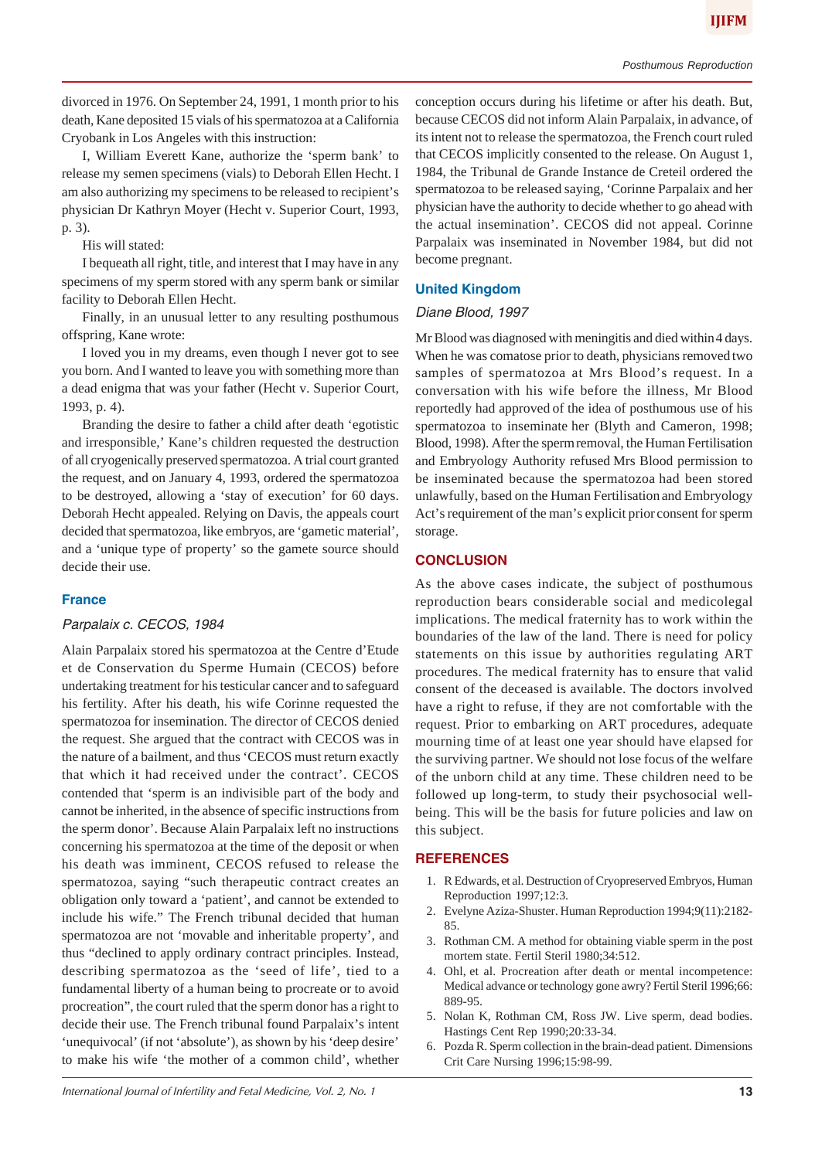divorced in 1976. On September 24, 1991, 1 month prior to his death, Kane deposited 15 vials of his spermatozoa at a California Cryobank in Los Angeles with this instruction:

I, William Everett Kane, authorize the 'sperm bank' to release my semen specimens (vials) to Deborah Ellen Hecht. I am also authorizing my specimens to be released to recipient's physician Dr Kathryn Moyer (Hecht v. Superior Court, 1993, p. 3).

His will stated:

I bequeath all right, title, and interest that I may have in any specimens of my sperm stored with any sperm bank or similar facility to Deborah Ellen Hecht.

Finally, in an unusual letter to any resulting posthumous offspring, Kane wrote:

I loved you in my dreams, even though I never got to see you born. And I wanted to leave you with something more than a dead enigma that was your father (Hecht v. Superior Court, 1993, p. 4).

Branding the desire to father a child after death 'egotistic and irresponsible,' Kane's children requested the destruction of all cryogenically preserved spermatozoa. A trial court granted the request, and on January 4, 1993, ordered the spermatozoa to be destroyed, allowing a 'stay of execution' for 60 days. Deborah Hecht appealed. Relying on Davis, the appeals court decided that spermatozoa, like embryos, are 'gametic material', and a 'unique type of property' so the gamete source should decide their use.

# **France**

# *Parpalaix c. CECOS, 1984*

Alain Parpalaix stored his spermatozoa at the Centre d'Etude et de Conservation du Sperme Humain (CECOS) before undertaking treatment for his testicular cancer and to safeguard his fertility. After his death, his wife Corinne requested the spermatozoa for insemination. The director of CECOS denied the request. She argued that the contract with CECOS was in the nature of a bailment, and thus 'CECOS must return exactly that which it had received under the contract'. CECOS contended that 'sperm is an indivisible part of the body and cannot be inherited, in the absence of specific instructions from the sperm donor'. Because Alain Parpalaix left no instructions concerning his spermatozoa at the time of the deposit or when his death was imminent, CECOS refused to release the spermatozoa, saying "such therapeutic contract creates an obligation only toward a 'patient', and cannot be extended to include his wife." The French tribunal decided that human spermatozoa are not 'movable and inheritable property', and thus "declined to apply ordinary contract principles. Instead, describing spermatozoa as the 'seed of life', tied to a fundamental liberty of a human being to procreate or to avoid procreation", the court ruled that the sperm donor has a right to decide their use. The French tribunal found Parpalaix's intent 'unequivocal' (if not 'absolute'), as shown by his 'deep desire' to make his wife 'the mother of a common child', whether

conception occurs during his lifetime or after his death. But, because CECOS did not inform Alain Parpalaix, in advance, of its intent not to release the spermatozoa, the French court ruled that CECOS implicitly consented to the release. On August 1, 1984, the Tribunal de Grande Instance de Creteil ordered the spermatozoa to be released saying, 'Corinne Parpalaix and her physician have the authority to decide whether to go ahead with the actual insemination'. CECOS did not appeal. Corinne Parpalaix was inseminated in November 1984, but did not become pregnant.

# **United Kingdom**

# *Diane Blood, 1997*

Mr Blood was diagnosed with meningitis and died within4 days. When he was comatose prior to death, physicians removed two samples of spermatozoa at Mrs Blood's request. In a conversation with his wife before the illness, Mr Blood reportedly had approved of the idea of posthumous use of his spermatozoa to inseminate her (Blyth and Cameron, 1998; Blood, 1998). After the spermremoval, the Human Fertilisation and Embryology Authority refused Mrs Blood permission to be inseminated because the spermatozoa had been stored unlawfully, based on the Human Fertilisation and Embryology Act's requirement of the man's explicit prior consent for sperm storage.

# **CONCLUSION**

As the above cases indicate, the subject of posthumous reproduction bears considerable social and medicolegal implications. The medical fraternity has to work within the boundaries of the law of the land. There is need for policy statements on this issue by authorities regulating ART procedures. The medical fraternity has to ensure that valid consent of the deceased is available. The doctors involved have a right to refuse, if they are not comfortable with the request. Prior to embarking on ART procedures, adequate mourning time of at least one year should have elapsed for the surviving partner. We should not lose focus of the welfare of the unborn child at any time. These children need to be followed up long-term, to study their psychosocial wellbeing. This will be the basis for future policies and law on this subject.

# **REFERENCES**

- 1. R Edwards, et al. Destruction of Cryopreserved Embryos, Human Reproduction 1997;12:3.
- 2. Evelyne Aziza-Shuster. Human Reproduction 1994;9(11):2182- 85.
- 3. Rothman CM. A method for obtaining viable sperm in the post mortem state. Fertil Steril 1980;34:512.
- 4. Ohl, et al. Procreation after death or mental incompetence: Medical advance or technology gone awry? Fertil Steril 1996;66: 889-95.
- 5. Nolan K, Rothman CM, Ross JW. Live sperm, dead bodies. Hastings Cent Rep 1990;20:33-34.
- 6. Pozda R. Sperm collection in the brain-dead patient. Dimensions Crit Care Nursing 1996;15:98-99.